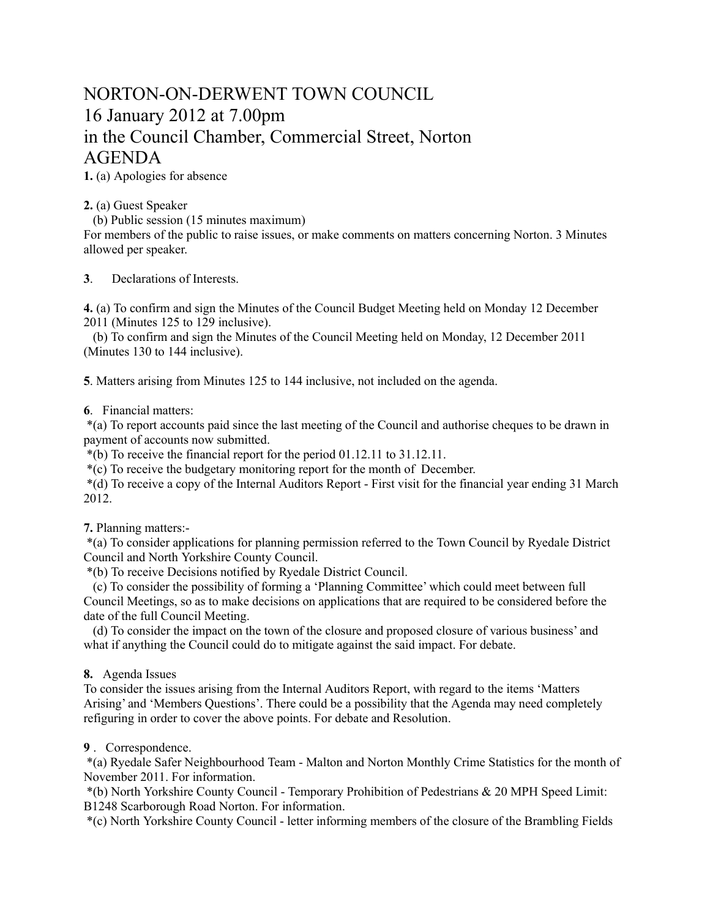## NORTON-ON-DERWENT TOWN COUNCIL 16 January 2012 at 7.00pm in the Council Chamber, Commercial Street, Norton AGENDA

**1.** (a) Apologies for absence

**2.** (a) Guest Speaker

(b) Public session (15 minutes maximum)

For members of the public to raise issues, or make comments on matters concerning Norton. 3 Minutes allowed per speaker.

**3**. Declarations of Interests.

**4.** (a) To confirm and sign the Minutes of the Council Budget Meeting held on Monday 12 December 2011 (Minutes 125 to 129 inclusive).

 (b) To confirm and sign the Minutes of the Council Meeting held on Monday, 12 December 2011 (Minutes 130 to 144 inclusive).

**5**. Matters arising from Minutes 125 to 144 inclusive, not included on the agenda.

## **6**. Financial matters:

 \*(a) To report accounts paid since the last meeting of the Council and authorise cheques to be drawn in payment of accounts now submitted.

\*(b) To receive the financial report for the period 01.12.11 to 31.12.11.

\*(c) To receive the budgetary monitoring report for the month of December.

 \*(d) To receive a copy of the Internal Auditors Report - First visit for the financial year ending 31 March 2012.

**7.** Planning matters:-

 \*(a) To consider applications for planning permission referred to the Town Council by Ryedale District Council and North Yorkshire County Council.

\*(b) To receive Decisions notified by Ryedale District Council.

 (c) To consider the possibility of forming a 'Planning Committee' which could meet between full Council Meetings, so as to make decisions on applications that are required to be considered before the date of the full Council Meeting.

 (d) To consider the impact on the town of the closure and proposed closure of various business' and what if anything the Council could do to mitigate against the said impact. For debate.

## **8.** Agenda Issues

To consider the issues arising from the Internal Auditors Report, with regard to the items 'Matters Arising' and 'Members Questions'. There could be a possibility that the Agenda may need completely refiguring in order to cover the above points. For debate and Resolution.

## **9** . Correspondence.

 \*(a) Ryedale Safer Neighbourhood Team - Malton and Norton Monthly Crime Statistics for the month of November 2011. For information.

 \*(b) North Yorkshire County Council - Temporary Prohibition of Pedestrians & 20 MPH Speed Limit: B1248 Scarborough Road Norton. For information.

\*(c) North Yorkshire County Council - letter informing members of the closure of the Brambling Fields